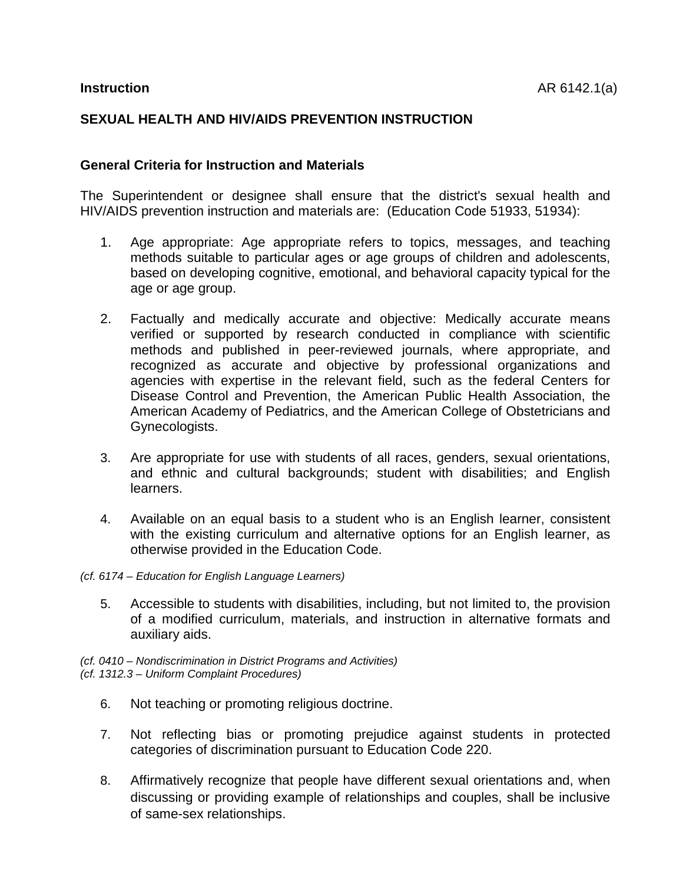# **SEXUAL HEALTH AND HIV/AIDS PREVENTION INSTRUCTION**

### **General Criteria for Instruction and Materials**

The Superintendent or designee shall ensure that the district's sexual health and HIV/AIDS prevention instruction and materials are: (Education Code 51933, 51934):

- 1. Age appropriate: Age appropriate refers to topics, messages, and teaching methods suitable to particular ages or age groups of children and adolescents, based on developing cognitive, emotional, and behavioral capacity typical for the age or age group.
- 2. Factually and medically accurate and objective: Medically accurate means verified or supported by research conducted in compliance with scientific methods and published in peer-reviewed journals, where appropriate, and mented as accurate and objective by professional organizations and agencies with expertise in the relevant field, such as the federal Centers for Disease Control and Prevention, the American Public Health Association, the American Academy of Pediatrics, and the American College of Obstetricians and Gynecologists.
- 3. Are appropriate for use with students of all races, genders, sexual orientations, and ethnic and cultural backgrounds; student with disabilities; and English learners.
- 4. Available on an equal basis to a student who is an English learner, consistent with the existing curriculum and alternative options for an English learner, as otherwise provided in the Education Code.
- *(cf. 6174 Education for English Language Learners)* 
	- 5. Accessible to students with disabilities, including, but not limited to, the provision of a modified curriculum, materials, and instruction in alternative formats and auxiliary aids.

*(cf. 0410 – Nondiscrimination in District Programs and Activities) (cf. 1312.3 – Uniform Complaint Procedures)* 

- 6. Not teaching or promoting religious doctrine.
- 7. Not reflecting bias or promoting prejudice against students in protected categories of discrimination pursuant to Education Code 220.
- 8. Affirmatively recognize that people have different sexual orientations and, when discussing or providing example of relationships and couples, shall be inclusive of same-sex relationships.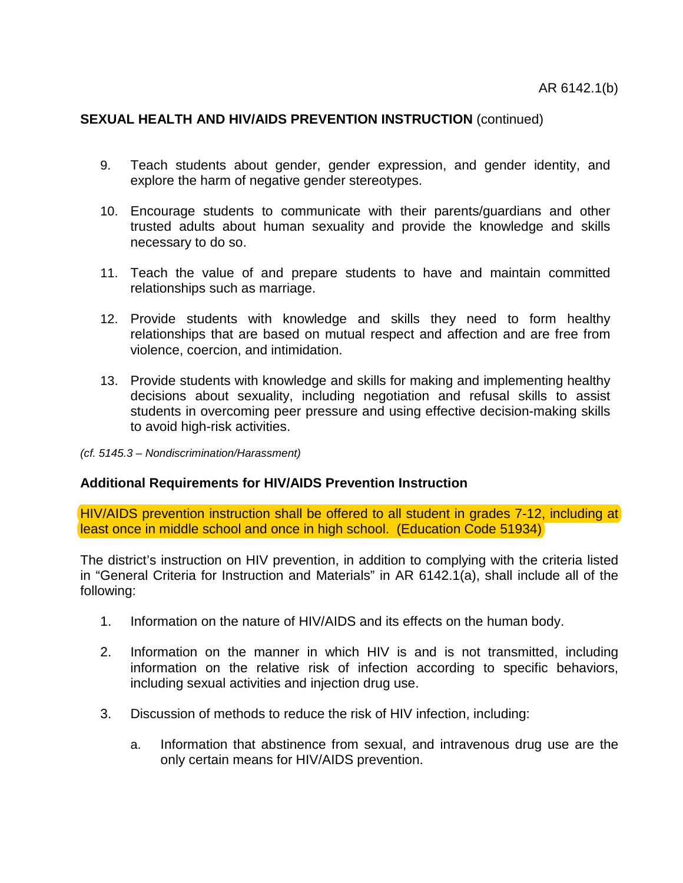- 9. Teach students about gender, gender expression, and gender identity, and explore the harm of negative gender stereotypes.
- 10. Encourage students to communicate with their parents/guardians and other trusted adults about human sexuality and provide the knowledge and skills necessary to do so.
- 11. Teach the value of and prepare students to have and maintain committed relationships such as marriage.
- 12. Provide students with knowledge and skills they need to form healthy relationships that are based on mutual respect and affection and are free from violence, coercion, and intimidation.
- 13. Provide students with knowledge and skills for making and implementing healthy decisions about sexuality, including negotiation and refusal skills to assist students in overcoming peer pressure and using effective decision-making skills to avoid high-risk activities.
- *(cf. 5145.3 Nondiscrimination/Harassment)*

### **Additional Requirements for HIV/AIDS Prevention Instruction**

HIV/AIDS prevention instruction shall be offered to all student in grades 7-12, including at least once in middle school and once in high school. (Education Code 51934)

The district's instruction on HIV prevention, in addition to complying with the criteria listed in "General Criteria for Instruction and Materials" in AR 6142.1(a), shall include all of the following:

- 1. Information on the nature of HIV/AIDS and its effects on the human body.
- 2. Information on the manner in which HIV is and is not transmitted, including information on the relative risk of infection according to specific behaviors, including sexual activities and injection drug use.
- 3. Discussion of methods to reduce the risk of HIV infection, including:
	- a. Information that abstinence from sexual, and intravenous drug use are the only certain means for HIV/AIDS prevention.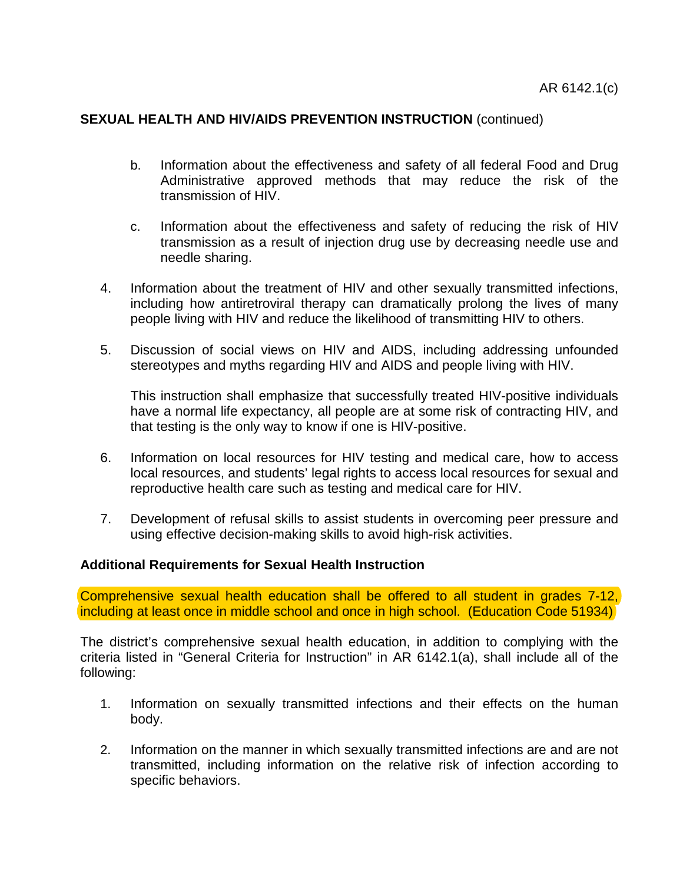- b. Information about the effectiveness and safety of all federal Food and Drug Administrative approved methods that may reduce the risk of the transmission of HIV.
- c. Information about the effectiveness and safety of reducing the risk of HIV transmission as a result of injection drug use by decreasing needle use and needle sharing.
- 4. Information about the treatment of HIV and other sexually transmitted infections, including how antiretroviral therapy can dramatically prolong the lives of many people living with HIV and reduce the likelihood of transmitting HIV to others.
- 5. Discussion of social views on HIV and AIDS, including addressing unfounded stereotypes and myths regarding HIV and AIDS and people living with HIV.

This instruction shall emphasize that successfully treated HIV-positive individuals have a normal life expectancy, all people are at some risk of contracting HIV, and that testing is the only way to know if one is HIV-positive.

- 6. Information on local resources for HIV testing and medical care, how to access local resources, and students' legal rights to access local resources for sexual and reproductive health care such as testing and medical care for HIV.
- 7. Development of refusal skills to assist students in overcoming peer pressure and using effective decision-making skills to avoid high-risk activities.

### **Additional Requirements for Sexual Health Instruction**

Comprehensive sexual health education shall be offered to all student in grades 7-12, including at least once in middle school and once in high school. (Education Code 51934)

The district's comprehensive sexual health education, in addition to complying with the criteria listed in "General Criteria for Instruction" in AR 6142.1(a), shall include all of the following:

- 1. Information on sexually transmitted infections and their effects on the human body.
- 2. Information on the manner in which sexually transmitted infections are and are not transmitted, including information on the relative risk of infection according to specific behaviors.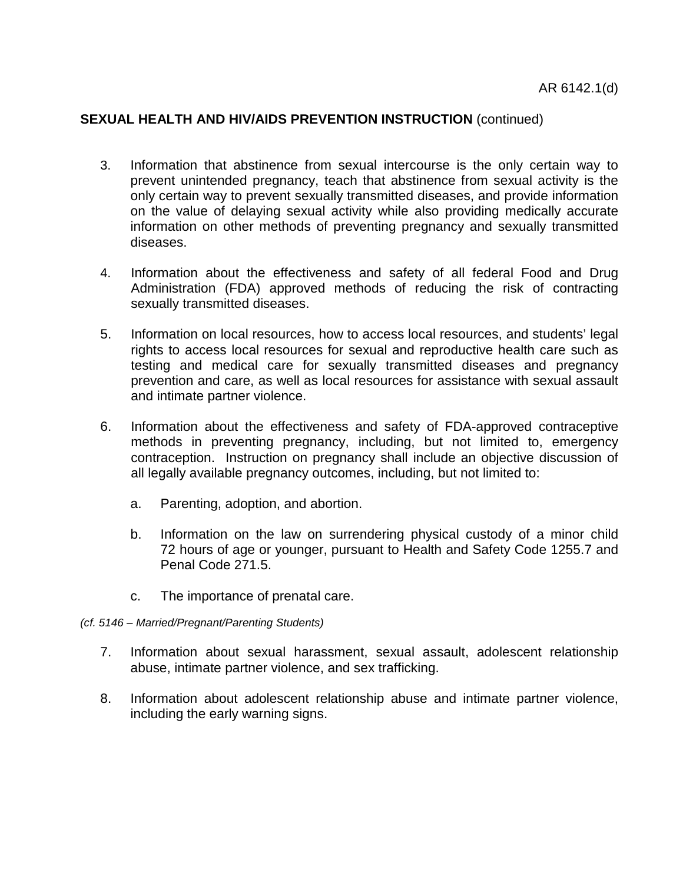- 3. Information that abstinence from sexual intercourse is the only certain way to prevent unintended pregnancy, teach that abstinence from sexual activity is the only certain way to prevent sexually transmitted diseases, and provide information on the value of delaying sexual activity while also providing medically accurate information on other methods of preventing pregnancy and sexually transmitted diseases.
- 4. Information about the effectiveness and safety of all federal Food and Drug Administration (FDA) approved methods of reducing the risk of contracting sexually transmitted diseases.
- 5. Information on local resources, how to access local resources, and students' legal rights to access local resources for sexual and reproductive health care such as testing and medical care for sexually transmitted diseases and pregnancy prevention and care, as well as local resources for assistance with sexual assault and intimate partner violence.
- 6. Information about the effectiveness and safety of FDA-approved contraceptive methods in preventing pregnancy, including, but not limited to, emergency contraception. Instruction on pregnancy shall include an objective discussion of all legally available pregnancy outcomes, including, but not limited to:
	- a. Parenting, adoption, and abortion.
	- b. Information on the law on surrendering physical custody of a minor child 72 hours of age or younger, pursuant to Health and Safety Code 1255.7 and Penal Code 271.5.
	- c. The importance of prenatal care.
- *(cf. 5146 Married/Pregnant/Parenting Students)* 
	- 7. Information about sexual harassment, sexual assault, adolescent relationship abuse, intimate partner violence, and sex trafficking.
	- 8. Information about adolescent relationship abuse and intimate partner violence, including the early warning signs.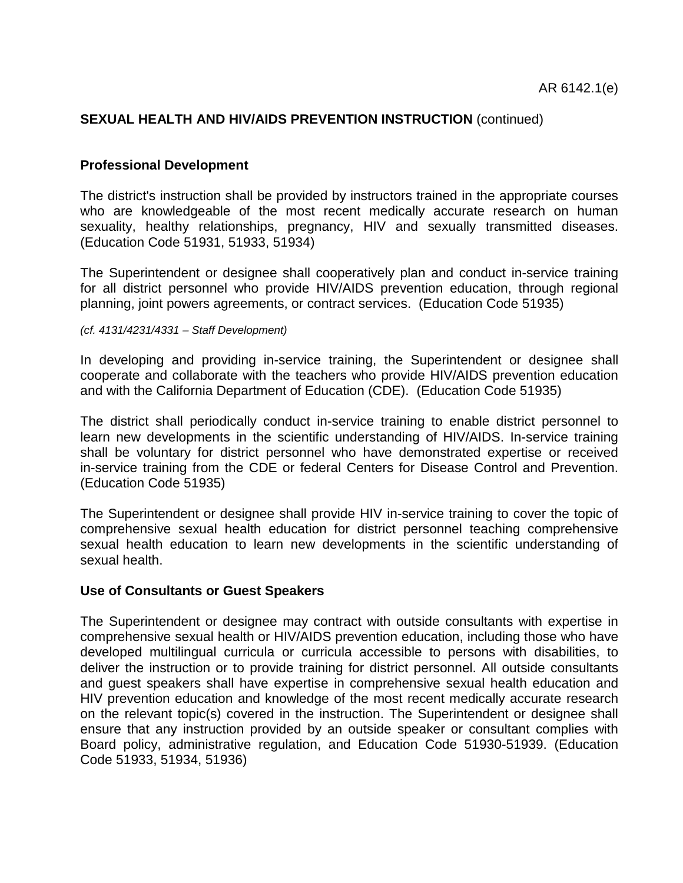### **Professional Development**

The district's instruction shall be provided by instructors trained in the appropriate courses who are knowledgeable of the most recent medically accurate research on human sexuality, healthy relationships, pregnancy, HIV and sexually transmitted diseases. (Education Code 51931, 51933, 51934)

The Superintendent or designee shall cooperatively plan and conduct in-service training for all district personnel who provide HIV/AIDS prevention education, through regional planning, joint powers agreements, or contract services. (Education Code 51935)

*(cf. 4131/4231/4331 – Staff Development)* 

In developing and providing in-service training, the Superintendent or designee shall cooperate and collaborate with the teachers who provide HIV/AIDS prevention education and with the California Department of Education (CDE). (Education Code 51935)

The district shall periodically conduct in-service training to enable district personnel to learn new developments in the scientific understanding of HIV/AIDS. In-service training shall be voluntary for district personnel who have demonstrated expertise or received in-service training from the CDE or federal Centers for Disease Control and Prevention. (Education Code 51935)

The Superintendent or designee shall provide HIV in-service training to cover the topic of comprehensive sexual health education for district personnel teaching comprehensive sexual health education to learn new developments in the scientific understanding of sexual health.

### **Use of Consultants or Guest Speakers**

The Superintendent or designee may contract with outside consultants with expertise in comprehensive sexual health or HIV/AIDS prevention education, including those who have developed multilingual curricula or curricula accessible to persons with disabilities, to deliver the instruction or to provide training for district personnel. All outside consultants and guest speakers shall have expertise in comprehensive sexual health education and HIV prevention education and knowledge of the most recent medically accurate research on the relevant topic(s) covered in the instruction. The Superintendent or designee shall ensure that any instruction provided by an outside speaker or consultant complies with Board policy, administrative regulation, and Education Code 51930-51939. (Education Code 51933, 51934, 51936)